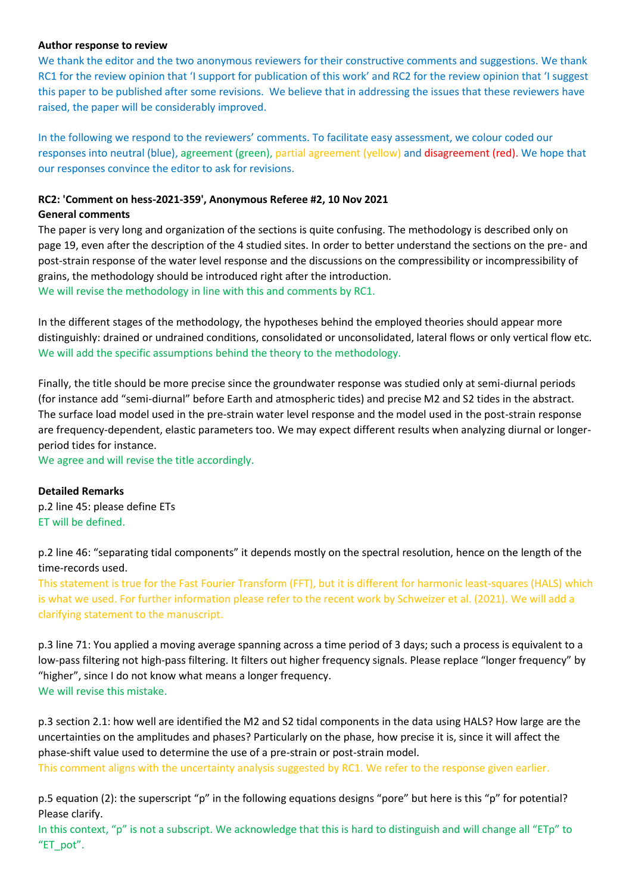## **Author response to review**

We thank the editor and the two anonymous reviewers for their constructive comments and suggestions. We thank RC1 for the review opinion that 'I support for publication of this work' and RC2 for the review opinion that 'I suggest this paper to be published after some revisions. We believe that in addressing the issues that these reviewers have raised, the paper will be considerably improved.

In the following we respond to the reviewers' comments. To facilitate easy assessment, we colour coded our responses into neutral (blue), agreement (green), partial agreement (yellow) and disagreement (red). We hope that our responses convince the editor to ask for revisions.

## **RC2: 'Comment on hess-2021-359', Anonymous Referee #2, 10 Nov 2021**

## **General comments**

The paper is very long and organization of the sections is quite confusing. The methodology is described only on page 19, even after the description of the 4 studied sites. In order to better understand the sections on the pre- and post-strain response of the water level response and the discussions on the compressibility or incompressibility of grains, the methodology should be introduced right after the introduction. We will revise the methodology in line with this and comments by RC1.

In the different stages of the methodology, the hypotheses behind the employed theories should appear more distinguishly: drained or undrained conditions, consolidated or unconsolidated, lateral flows or only vertical flow etc. We will add the specific assumptions behind the theory to the methodology.

Finally, the title should be more precise since the groundwater response was studied only at semi-diurnal periods (for instance add "semi-diurnal" before Earth and atmospheric tides) and precise M2 and S2 tides in the abstract. The surface load model used in the pre-strain water level response and the model used in the post-strain response are frequency-dependent, elastic parameters too. We may expect different results when analyzing diurnal or longerperiod tides for instance.

We agree and will revise the title accordingly.

## **Detailed Remarks**

p.2 line 45: please define ETs ET will be defined.

p.2 line 46: "separating tidal components" it depends mostly on the spectral resolution, hence on the length of the time-records used.

This statement is true for the Fast Fourier Transform (FFT), but it is different for harmonic least-squares (HALS) which is what we used. For further information please refer to the recent work by Schweizer et al. (2021). We will add a clarifying statement to the manuscript.

p.3 line 71: You applied a moving average spanning across a time period of 3 days; such a process is equivalent to a low-pass filtering not high-pass filtering. It filters out higher frequency signals. Please replace "longer frequency" by "higher", since I do not know what means a longer frequency. We will revise this mistake.

p.3 section 2.1: how well are identified the M2 and S2 tidal components in the data using HALS? How large are the uncertainties on the amplitudes and phases? Particularly on the phase, how precise it is, since it will affect the phase-shift value used to determine the use of a pre-strain or post-strain model.

This comment aligns with the uncertainty analysis suggested by RC1. We refer to the response given earlier.

p.5 equation (2): the superscript "p" in the following equations designs "pore" but here is this "p" for potential? Please clarify.

In this context, "p" is not a subscript. We acknowledge that this is hard to distinguish and will change all "ETp" to "ET\_pot".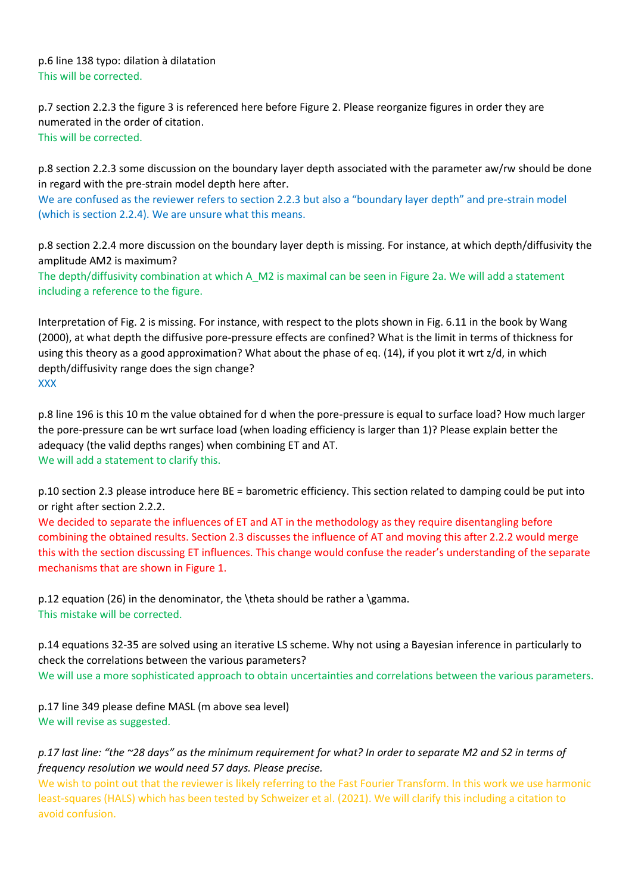p.6 line 138 typo: dilation à dilatation This will be corrected.

p.7 section 2.2.3 the figure 3 is referenced here before Figure 2. Please reorganize figures in order they are numerated in the order of citation. This will be corrected.

p.8 section 2.2.3 some discussion on the boundary layer depth associated with the parameter aw/rw should be done in regard with the pre-strain model depth here after. We are confused as the reviewer refers to section 2.2.3 but also a "boundary layer depth" and pre-strain model (which is section 2.2.4). We are unsure what this means.

p.8 section 2.2.4 more discussion on the boundary layer depth is missing. For instance, at which depth/diffusivity the amplitude AM2 is maximum?

The depth/diffusivity combination at which A\_M2 is maximal can be seen in Figure 2a. We will add a statement including a reference to the figure.

Interpretation of Fig. 2 is missing. For instance, with respect to the plots shown in Fig. 6.11 in the book by Wang (2000), at what depth the diffusive pore-pressure effects are confined? What is the limit in terms of thickness for using this theory as a good approximation? What about the phase of eq. (14), if you plot it wrt z/d, in which depth/diffusivity range does the sign change? XXX

p.8 line 196 is this 10 m the value obtained for d when the pore-pressure is equal to surface load? How much larger the pore-pressure can be wrt surface load (when loading efficiency is larger than 1)? Please explain better the adequacy (the valid depths ranges) when combining ET and AT. We will add a statement to clarify this.

p.10 section 2.3 please introduce here BE = barometric efficiency. This section related to damping could be put into or right after section 2.2.2.

We decided to separate the influences of ET and AT in the methodology as they require disentangling before combining the obtained results. Section 2.3 discusses the influence of AT and moving this after 2.2.2 would merge this with the section discussing ET influences. This change would confuse the reader's understanding of the separate mechanisms that are shown in Figure 1.

p.12 equation (26) in the denominator, the \theta should be rather a \gamma. This mistake will be corrected.

p.14 equations 32-35 are solved using an iterative LS scheme. Why not using a Bayesian inference in particularly to check the correlations between the various parameters? We will use a more sophisticated approach to obtain uncertainties and correlations between the various parameters.

p.17 line 349 please define MASL (m above sea level) We will revise as suggested.

*p.17 last line: "the ~28 days" as the minimum requirement for what? In order to separate M2 and S2 in terms of frequency resolution we would need 57 days. Please precise.*

We wish to point out that the reviewer is likely referring to the Fast Fourier Transform. In this work we use harmonic least-squares (HALS) which has been tested by Schweizer et al. (2021). We will clarify this including a citation to avoid confusion.